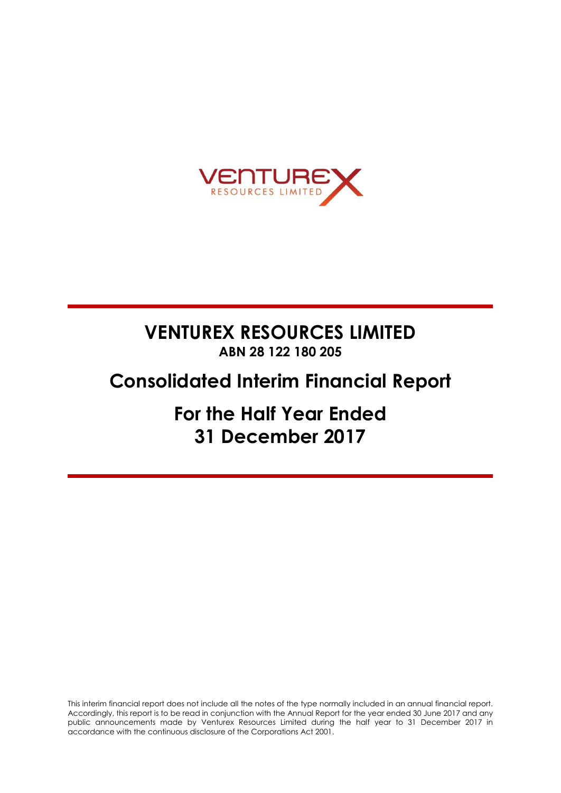

# **VENTUREX RESOURCES LIMITED ABN 28 122 180 205**

# **Consolidated Interim Financial Report**

**For the Half Year Ended 31 December 2017**

This interim financial report does not include all the notes of the type normally included in an annual financial report. Accordingly, this report is to be read in conjunction with the Annual Report for the year ended 30 June 2017 and any public announcements made by Venturex Resources Limited during the half year to 31 December 2017 in accordance with the continuous disclosure of the Corporations Act 2001.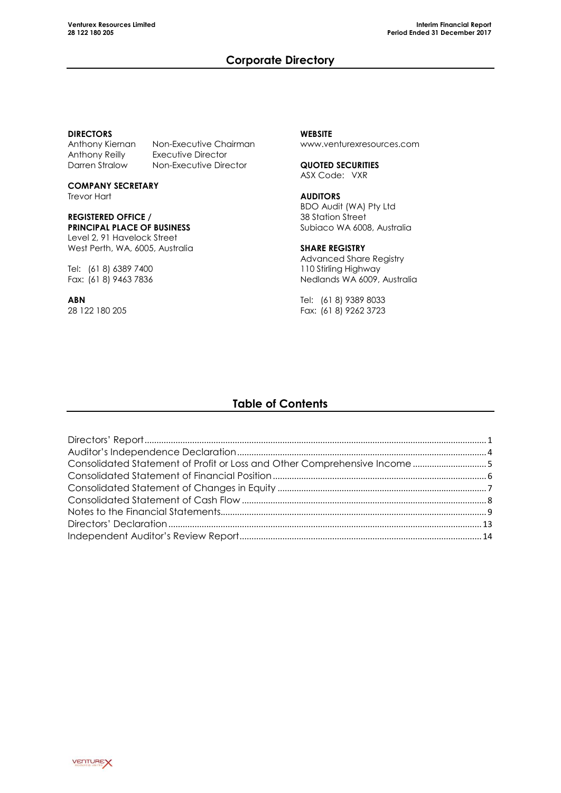## **Corporate Directory**

#### **DIRECTORS**

Anthony Kiernan Non-Executive Chairman<br>Anthony Reilly Executive Director Darren Stralow Non-Executive Director

**COMPANY SECRETARY**

Executive Director

Trevor Hart

## **REGISTERED OFFICE / PRINCIPAL PLACE OF BUSINESS**

Level 2, 91 Havelock Street West Perth, WA, 6005, Australia

Tel: (61 8) 6389 7400 Fax: (61 8) 9463 7836

**ABN** 28 122 180 205

**WEBSITE** [www.venturexresources.com](http://www.venturexresources.com/)

**QUOTED SECURITIES** ASX Code: VXR

#### **AUDITORS** BDO Audit (WA) Pty Ltd 38 Station Street Subiaco WA 6008, Australia

**SHARE REGISTRY**

Advanced Share Registry 110 Stirling Highway Nedlands WA 6009, Australia

Tel: (61 8) 9389 8033 Fax: (61 8) 9262 3723

# **Table of Contents**

| Consolidated Statement of Profit or Loss and Other Comprehensive Income 5 |  |
|---------------------------------------------------------------------------|--|
|                                                                           |  |
|                                                                           |  |
|                                                                           |  |
|                                                                           |  |
|                                                                           |  |
|                                                                           |  |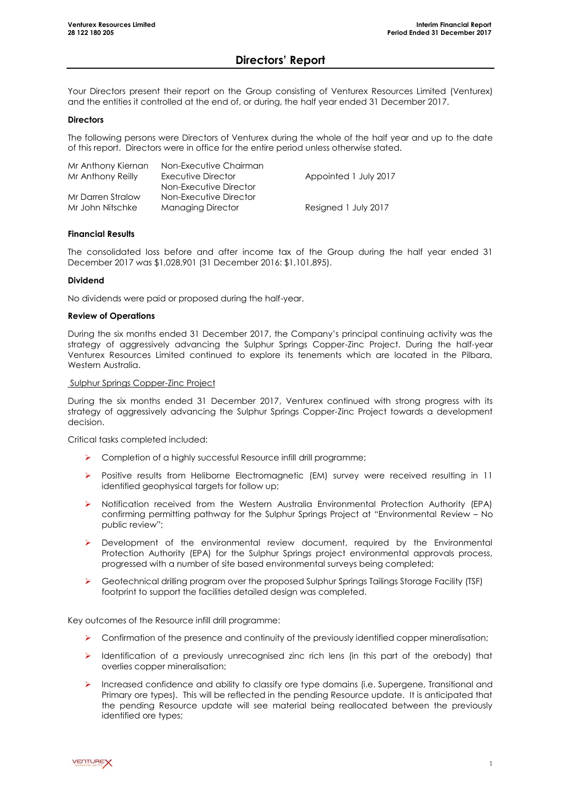### **Directors' Report**

Your Directors present their report on the Group consisting of Venturex Resources Limited (Venturex) and the entities it controlled at the end of, or during, the half year ended 31 December 2017.

#### **Directors**

The following persons were Directors of Venturex during the whole of the half year and up to the date of this report. Directors were in office for the entire period unless otherwise stated.

| Mr Anthony Kiernan | Non-Executive Chairman   |                       |
|--------------------|--------------------------|-----------------------|
| Mr Anthony Reilly  | Executive Director       | Appointed 1 July 2017 |
|                    | Non-Executive Director   |                       |
| Mr Darren Stralow  | Non-Executive Director   |                       |
| Mr John Nitschke   | <b>Managing Director</b> | Resigned 1 July 2017  |

#### **Financial Results**

The consolidated loss before and after income tax of the Group during the half year ended 31 December 2017 was \$1,028,901 (31 December 2016: \$1,101,895).

#### **Dividend**

No dividends were paid or proposed during the half-year.

#### **Review of Operations**

During the six months ended 31 December 2017, the Company's principal continuing activity was the strategy of aggressively advancing the Sulphur Springs Copper-Zinc Project. During the half-year Venturex Resources Limited continued to explore its tenements which are located in the Pilbara, Western Australia.

#### Sulphur Springs Copper-Zinc Project

During the six months ended 31 December 2017, Venturex continued with strong progress with its strategy of aggressively advancing the Sulphur Springs Copper-Zinc Project towards a development decision.

Critical tasks completed included:

- > Completion of a highly successful Resource infill drill programme;
- Positive results from Heliborne Electromagnetic (EM) survey were received resulting in 11 identified geophysical targets for follow up;
- $\triangleright$  Notification received from the Western Australia Environmental Protection Authority (EPA) confirming permitting pathway for the Sulphur Springs Project at "Environmental Review – No public review";
- $\triangleright$  Development of the environmental review document, required by the Environmental Protection Authority (EPA) for the Sulphur Springs project environmental approvals process, progressed with a number of site based environmental surveys being completed;
- Geotechnical drilling program over the proposed Sulphur Springs Tailings Storage Facility (TSF) footprint to support the facilities detailed design was completed.

Key outcomes of the Resource infill drill programme:

- $\triangleright$  Confirmation of the presence and continuity of the previously identified copper mineralisation;
- $\triangleright$  Identification of a previously unrecognised zinc rich lens (in this part of the orebody) that overlies copper mineralisation;
- Increased confidence and ability to classify ore type domains (i.e. Supergene, Transitional and Primary ore types). This will be reflected in the pending Resource update. It is anticipated that the pending Resource update will see material being reallocated between the previously identified ore types;

**VENTUREX**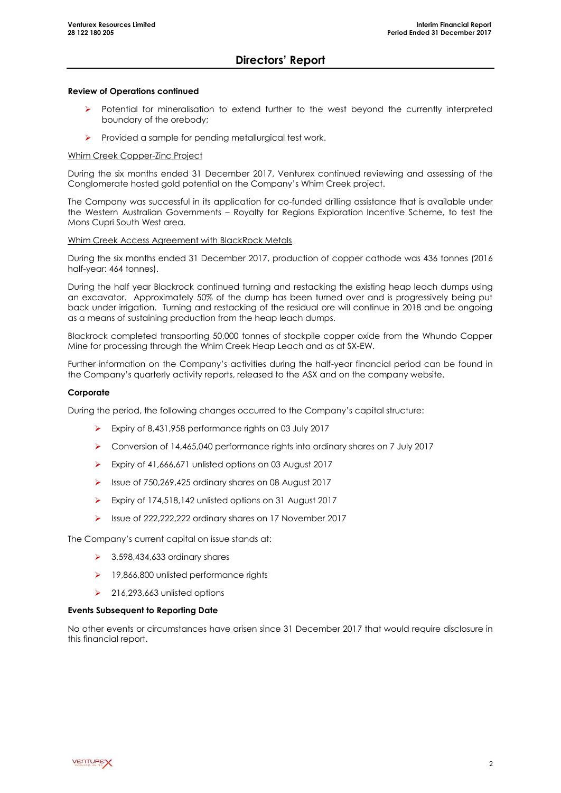### **Directors' Report**

#### **Review of Operations continued**

- Potential for mineralisation to extend further to the west beyond the currently interpreted boundary of the orebody;
- Provided a sample for pending metallurgical test work.

#### Whim Creek Copper-Zinc Project

During the six months ended 31 December 2017, Venturex continued reviewing and assessing of the Conglomerate hosted gold potential on the Company's Whim Creek project.

The Company was successful in its application for co-funded drilling assistance that is available under the Western Australian Governments – Royalty for Regions Exploration Incentive Scheme, to test the Mons Cupri South West area.

#### Whim Creek Access Agreement with BlackRock Metals

During the six months ended 31 December 2017, production of copper cathode was 436 tonnes (2016 half-year: 464 tonnes).

During the half year Blackrock continued turning and restacking the existing heap leach dumps using an excavator. Approximately 50% of the dump has been turned over and is progressively being put back under irrigation. Turning and restacking of the residual ore will continue in 2018 and be ongoing as a means of sustaining production from the heap leach dumps.

Blackrock completed transporting 50,000 tonnes of stockpile copper oxide from the Whundo Copper Mine for processing through the Whim Creek Heap Leach and as at SX-EW.

Further information on the Company's activities during the half-year financial period can be found in the Company's quarterly activity reports, released to the ASX and on the company website.

#### **Corporate**

During the period, the following changes occurred to the Company's capital structure:

- Expiry of 8,431,958 performance rights on 03 July 2017
- Conversion of 14,465,040 performance rights into ordinary shares on 7 July 2017
- Expiry of 41,666,671 unlisted options on 03 August 2017
- Issue of 750,269,425 ordinary shares on 08 August 2017
- Expiry of 174,518,142 unlisted options on 31 August 2017
- Issue of 222,222,222 ordinary shares on 17 November 2017

The Company's current capital on issue stands at:

- $\triangleright$  3,598,434,633 ordinary shares
- ▶ 19,866,800 unlisted performance rights
- $\geq$  216,293,663 unlisted options

#### **Events Subsequent to Reporting Date**

No other events or circumstances have arisen since 31 December 2017 that would require disclosure in this financial report.

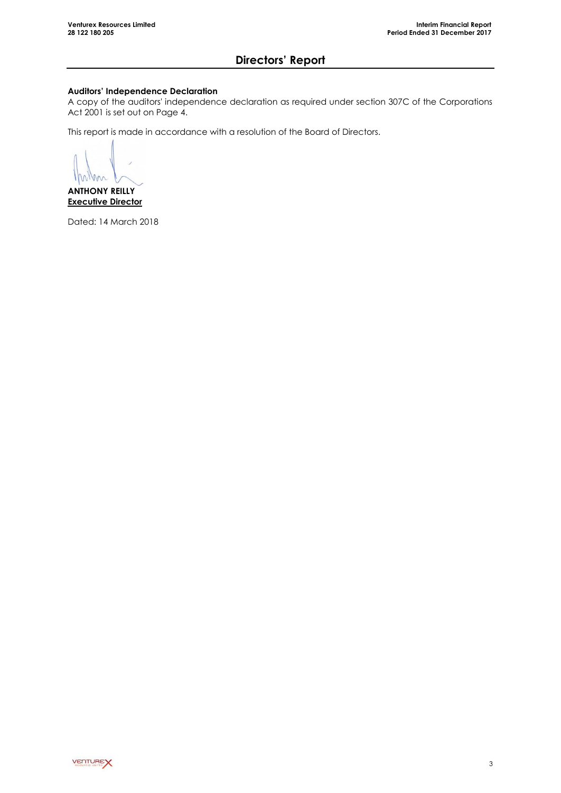# **Directors' Report**

### **Auditors' Independence Declaration**

A copy of the auditors' independence declaration as required under section 307C of the Corporations Act 2001 is set out on Page 4.

This report is made in accordance with a resolution of the Board of Directors.

m  $\sqrt{}$ 

**ANTHONY REILLY Executive Director**

Dated: 14 March 2018

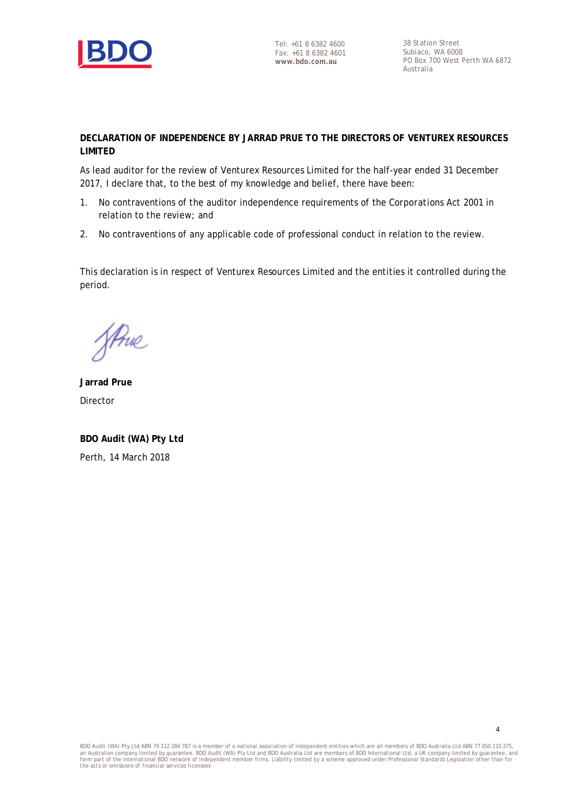

Tel: +61 8 6382 4600 Fax: +61 8 6382 4601 **www.bdo.com.au**

38 Station Street Subiaco, WA 6008 PO Box 700 West Perth WA 6872 Australia

4

### **DECLARATION OF INDEPENDENCE BY JARRAD PRUE TO THE DIRECTORS OF VENTUREX RESOURCES LIMITED**

As lead auditor for the review of Venturex Resources Limited for the half-year ended 31 December 2017, I declare that, to the best of my knowledge and belief, there have been:

- 1. No contraventions of the auditor independence requirements of the *Corporations Act 2001* in relation to the review; and
- 2. No contraventions of any applicable code of professional conduct in relation to the review.

This declaration is in respect of Venturex Resources Limited and the entities it controlled during the period.

JAnne

**Jarrad Prue** Director

**BDO Audit (WA) Pty Ltd** Perth, 14 March 2018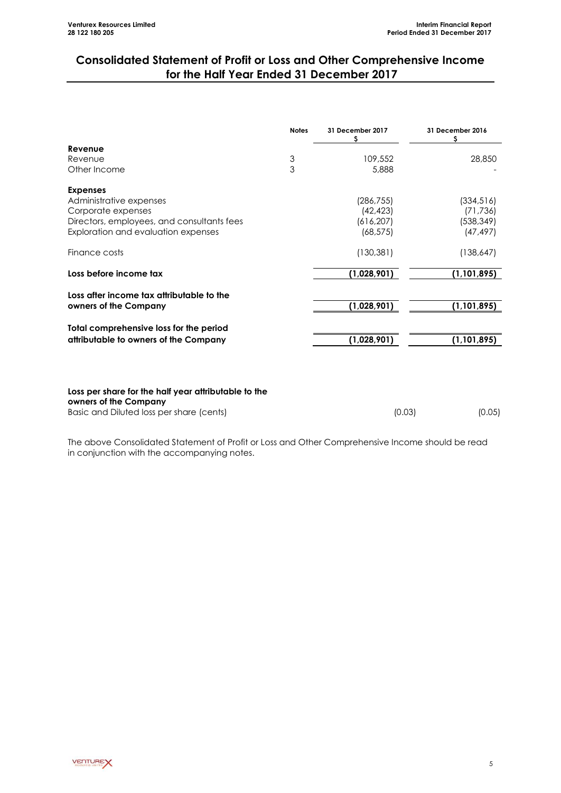# **Consolidated Statement of Profit or Loss and Other Comprehensive Income for the Half Year Ended 31 December 2017**

|                                                                               | <b>Notes</b> | 31 December 2017<br>S | 31 December 2016<br>S |
|-------------------------------------------------------------------------------|--------------|-----------------------|-----------------------|
| Revenue                                                                       |              |                       |                       |
| Revenue                                                                       | 3            | 109,552               | 28,850                |
| Other Income                                                                  | 3            | 5,888                 |                       |
| <b>Expenses</b>                                                               |              |                       |                       |
| Administrative expenses                                                       |              | (286, 755)            | (334, 516)            |
| Corporate expenses                                                            |              | (42, 423)             | (71, 736)             |
| Directors, employees, and consultants fees                                    |              | (616, 207)            | (538,349)             |
| Exploration and evaluation expenses                                           |              | (68, 575)             | (47, 497)             |
| Finance costs                                                                 |              | (130, 381)            | (138, 647)            |
| Loss before income tax                                                        |              | (1,028,901)           | (1, 101, 895)         |
| Loss after income tax attributable to the                                     |              |                       |                       |
| owners of the Company                                                         |              | (1,028,901)           | (1, 101, 895)         |
| Total comprehensive loss for the period                                       |              |                       |                       |
| attributable to owners of the Company                                         |              | (1,028,901)           | (1, 101, 895)         |
|                                                                               |              |                       |                       |
| Loss per share for the half year attributable to the<br>owners of the Company |              |                       |                       |
| Basic and Diluted loss per share (cents)                                      |              | (0.03)                | (0.05)                |

The above Consolidated Statement of Profit or Loss and Other Comprehensive Income should be read in conjunction with the accompanying notes.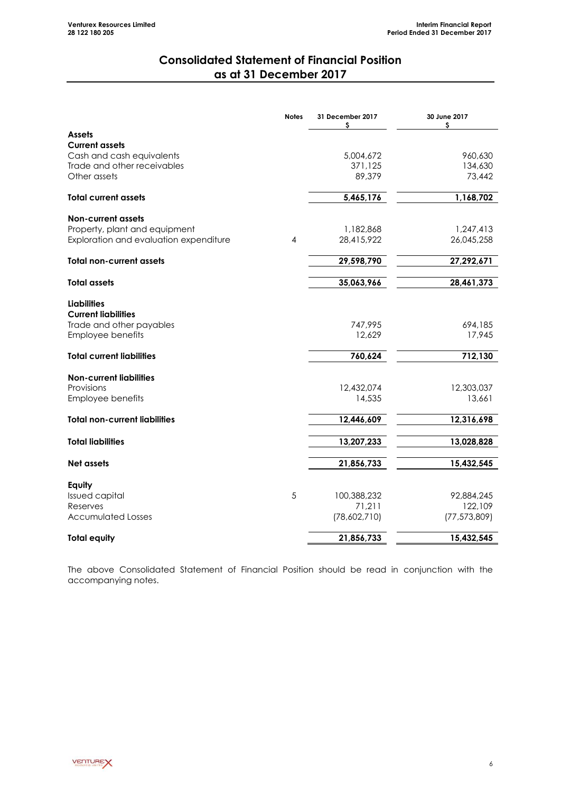## **Consolidated Statement of Financial Position as at 31 December 2017**

<span id="page-7-0"></span>

|                                                  | <b>Notes</b> | 31 December 2017<br>s | 30 June 2017<br>s |
|--------------------------------------------------|--------------|-----------------------|-------------------|
| <b>Assets</b>                                    |              |                       |                   |
| <b>Current assets</b>                            |              |                       |                   |
| Cash and cash equivalents                        |              | 5,004,672             | 960,630           |
| Trade and other receivables<br>Other assets      |              | 371,125<br>89,379     | 134,630<br>73,442 |
|                                                  |              |                       |                   |
| <b>Total current assets</b>                      |              | 5,465,176             | 1,168,702         |
| <b>Non-current assets</b>                        |              |                       |                   |
| Property, plant and equipment                    |              | 1,182,868             | 1,247,413         |
| Exploration and evaluation expenditure           | 4            | 28,415,922            | 26,045,258        |
| <b>Total non-current assets</b>                  |              | 29,598,790            | 27,292,671        |
| <b>Total assets</b>                              |              | 35,063,966            | 28,461,373        |
|                                                  |              |                       |                   |
| <b>Liabilities</b><br><b>Current liabilities</b> |              |                       |                   |
| Trade and other payables                         |              | 747,995               | 694,185           |
| Employee benefits                                |              | 12,629                | 17,945            |
| <b>Total current liabilities</b>                 |              | 760,624               | 712,130           |
| <b>Non-current liabilities</b>                   |              |                       |                   |
| Provisions                                       |              | 12,432,074            | 12,303,037        |
| Employee benefits                                |              | 14,535                | 13,661            |
| <b>Total non-current liabilities</b>             |              | 12,446,609            | 12,316,698        |
| <b>Total liabilities</b>                         |              | 13,207,233            | 13,028,828        |
|                                                  |              |                       |                   |
| Net assets                                       |              | 21,856,733            | 15,432,545        |
| Equity                                           |              |                       |                   |
| <b>Issued capital</b>                            | 5            | 100,388,232           | 92,884,245        |
| Reserves                                         |              | 71,211                | 122,109           |
| <b>Accumulated Losses</b>                        |              | (78,602,710)          | (77, 573, 809)    |
| <b>Total equity</b>                              |              | 21,856,733            | 15,432,545        |

The above Consolidated Statement of Financial Position should be read in conjunction with the accompanying notes.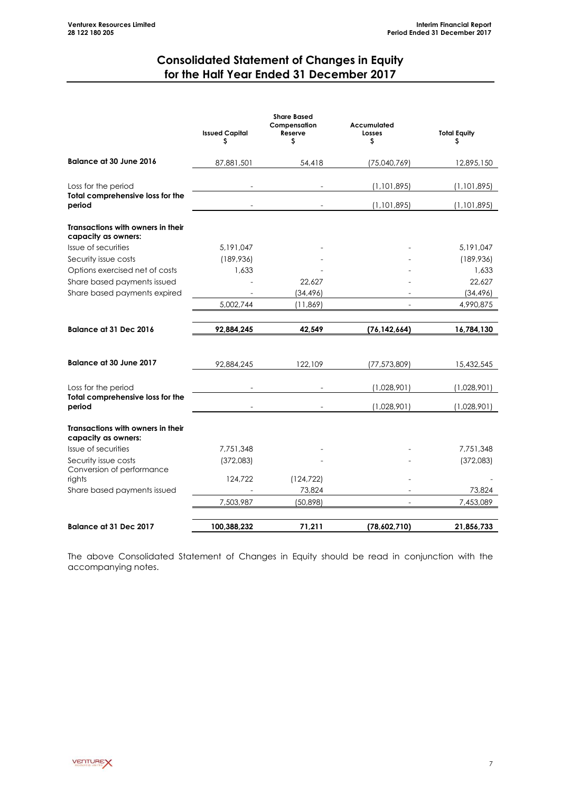# **Consolidated Statement of Changes in Equity for the Half Year Ended 31 December 2017**

<span id="page-8-0"></span>

|                                                          | <b>Issued Capital</b><br>s | <b>Share Based</b><br>Compensation<br>Reserve<br>\$ | Accumulated<br>Losses<br>s | <b>Total Equity</b><br>\$ |
|----------------------------------------------------------|----------------------------|-----------------------------------------------------|----------------------------|---------------------------|
| <b>Balance at 30 June 2016</b>                           | 87,881,501                 | 54,418                                              | (75,040,769)               | 12,895,150                |
| Loss for the period                                      |                            |                                                     | (1,101,895)                | (1, 101, 895)             |
| Total comprehensive loss for the<br>period               |                            |                                                     | (1,101,895)                | (1, 101, 895)             |
| Transactions with owners in their<br>capacity as owners: |                            |                                                     |                            |                           |
| Issue of securities                                      | 5,191,047                  |                                                     |                            | 5,191,047                 |
| Security issue costs                                     | (189, 936)                 |                                                     |                            | (189,936)                 |
| Options exercised net of costs                           | 1,633                      |                                                     |                            | 1,633                     |
| Share based payments issued                              |                            | 22,627                                              |                            | 22,627                    |
| Share based payments expired                             |                            | (34, 496)                                           |                            | (34, 496)                 |
|                                                          | 5.002.744                  | (11, 869)                                           |                            | 4,990,875                 |
| <b>Balance at 31 Dec 2016</b>                            | 92,884,245                 | 42,549                                              | (76, 142, 664)             | 16,784,130                |
| <b>Balance at 30 June 2017</b>                           | 92,884,245                 | 122,109                                             | (77, 573, 809)             | 15,432,545                |
| Loss for the period                                      |                            |                                                     | (1,028,901)                | (1,028,901)               |
| Total comprehensive loss for the<br>period               |                            |                                                     | (1,028,901)                | (1,028,901)               |
| Transactions with owners in their<br>capacity as owners: |                            |                                                     |                            |                           |
| Issue of securities                                      | 7,751,348                  |                                                     |                            | 7,751,348                 |
| Security issue costs<br>Conversion of performance        | (372,083)                  |                                                     |                            | (372,083)                 |
| rights                                                   | 124,722                    | (124, 722)                                          |                            |                           |
| Share based payments issued                              |                            | 73,824                                              |                            | 73,824                    |
|                                                          | 7,503,987                  | (50, 898)                                           |                            | 7,453,089                 |
| Balance at 31 Dec 2017                                   | 100,388,232                | 71,211                                              | (78,602,710)               | 21,856,733                |

The above Consolidated Statement of Changes in Equity should be read in conjunction with the accompanying notes.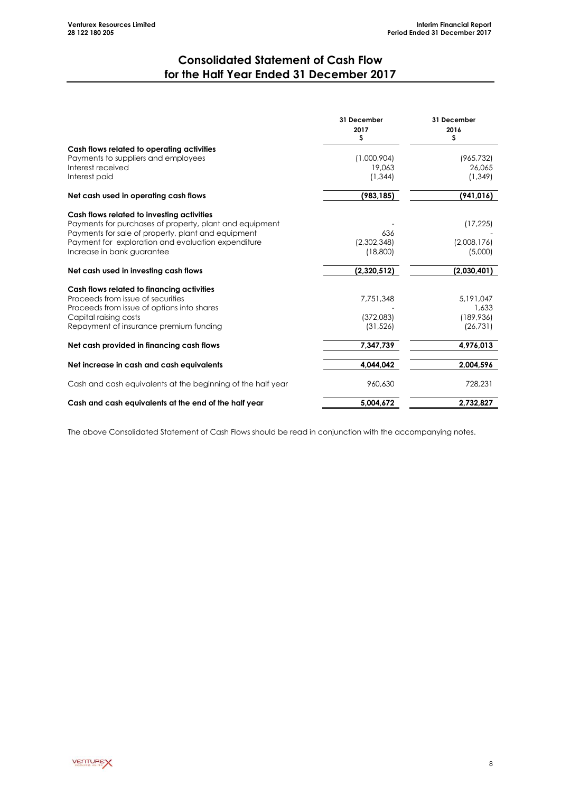## **Consolidated Statement of Cash Flow for the Half Year Ended 31 December 2017**

<span id="page-9-0"></span>

|                                                             | 31 December<br>2017<br>\$ | 31 December<br>2016<br>\$ |
|-------------------------------------------------------------|---------------------------|---------------------------|
| Cash flows related to operating activities                  |                           |                           |
| Payments to suppliers and employees                         | (1,000,904)               | (965, 732)                |
| Interest received<br>Interest paid                          | 19,063<br>(1, 344)        | 26,065<br>(1, 349)        |
|                                                             |                           |                           |
| Net cash used in operating cash flows                       | (983, 185)                | (941, 016)                |
| Cash flows related to investing activities                  |                           |                           |
| Payments for purchases of property, plant and equipment     |                           | (17, 225)                 |
| Payments for sale of property, plant and equipment          | 636                       |                           |
| Payment for exploration and evaluation expenditure          | (2,302,348)               | (2,008,176)               |
| Increase in bank guarantee                                  | (18,800)                  | (5,000)                   |
| Net cash used in investing cash flows                       | (2,320,512)               | (2,030,401)               |
| Cash flows related to financing activities                  |                           |                           |
| Proceeds from issue of securities                           | 7,751,348                 | 5.191.047                 |
| Proceeds from issue of options into shares                  |                           | 1,633                     |
| Capital raising costs                                       | (372,083)                 | (189, 936)                |
| Repayment of insurance premium funding                      | (31, 526)                 | (26, 731)                 |
| Net cash provided in financing cash flows                   | 7,347,739                 | 4,976,013                 |
| Net increase in cash and cash equivalents                   | 4,044,042                 | 2,004,596                 |
| Cash and cash equivalents at the beginning of the half year | 960,630                   | 728,231                   |
| Cash and cash equivalents at the end of the half year       | 5.004.672                 | 2,732,827                 |

The above Consolidated Statement of Cash Flows should be read in conjunction with the accompanying notes.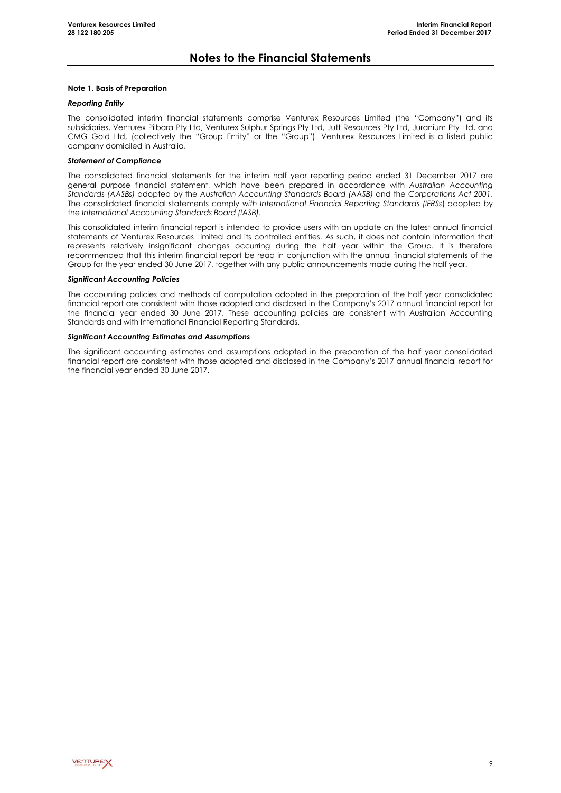### **Notes to the Financial Statements**

#### **Note 1. Basis of Preparation**

#### *Reporting Entity*

The consolidated interim financial statements comprise Venturex Resources Limited (the "Company") and its subsidiaries, Venturex Pilbara Pty Ltd, Venturex Sulphur Springs Pty Ltd, Jutt Resources Pty Ltd, Juranium Pty Ltd, and CMG Gold Ltd, (collectively the "Group Entity" or the "Group"). Venturex Resources Limited is a listed public company domiciled in Australia.

#### *Statement of Compliance*

The consolidated financial statements for the interim half year reporting period ended 31 December 2017 are general purpose financial statement, which have been prepared in accordance with *Australian Accounting Standards (AASBs)* adopted by the *Australian Accounting Standards Board (AASB)* and the *Corporations Act 2001*. The consolidated financial statements comply *with International Financial Reporting Standards (IFRSs*) adopted by the *International Accounting Standards Board (IASB).*

This consolidated interim financial report is intended to provide users with an update on the latest annual financial statements of Venturex Resources Limited and its controlled entities. As such, it does not contain information that represents relatively insignificant changes occurring during the half year within the Group. It is therefore recommended that this interim financial report be read in conjunction with the annual financial statements of the Group for the year ended 30 June 2017, together with any public announcements made during the half year.

#### *Significant Accounting Policies*

The accounting policies and methods of computation adopted in the preparation of the half year consolidated financial report are consistent with those adopted and disclosed in the Company's 2017 annual financial report for the financial year ended 30 June 2017. These accounting policies are consistent with Australian Accounting Standards and with International Financial Reporting Standards.

#### *Significant Accounting Estimates and Assumptions*

The significant accounting estimates and assumptions adopted in the preparation of the half year consolidated financial report are consistent with those adopted and disclosed in the Company's 2017 annual financial report for the financial year ended 30 June 2017.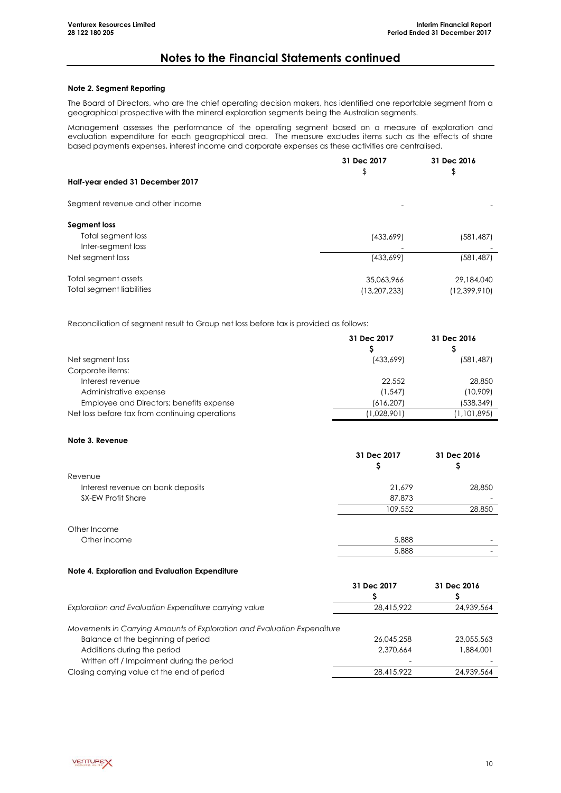### **Notes to the Financial Statements continued**

#### **Note 2. Segment Reporting**

The Board of Directors, who are the chief operating decision makers, has identified one reportable segment from a geographical prospective with the mineral exploration segments being the Australian segments.

Management assesses the performance of the operating segment based on a measure of exploration and evaluation expenditure for each geographical area. The measure excludes items such as the effects of share based payments expenses, interest income and corporate expenses as these activities are centralised.

|                                  | 31 Dec 2017    | 31 Dec 2016    |
|----------------------------------|----------------|----------------|
| Half-year ended 31 December 2017 | \$             | \$             |
| Segment revenue and other income |                |                |
| Segment loss                     |                |                |
| Total segment loss               | (433,699)      | (581,487)      |
| Inter-segment loss               |                |                |
| Net segment loss                 | (433,699)      | (581, 487)     |
| Total segment assets             | 35,063,966     | 29,184,040     |
| Total segment liabilities        | (13, 207, 233) | (12, 399, 910) |

Reconciliation of segment result to Group net loss before tax is provided as follows:

|                                                | 31 Dec 2017 | 31 Dec 2016 |
|------------------------------------------------|-------------|-------------|
|                                                |             |             |
| Net segment loss                               | (433,699)   | (581, 487)  |
| Corporate items:                               |             |             |
| Interest revenue                               | 22,552      | 28,850      |
| Administrative expense                         | (1, 547)    | (10,909)    |
| Employee and Directors; benefits expense       | (616, 207)  | (538, 349)  |
| Net loss before tax from continuing operations | (1,028,901) | (1,101,895) |

#### **Note 3. Revenue**

|                                   | 31 Dec 2017<br>Ş | 31 Dec 2016 |
|-----------------------------------|------------------|-------------|
| Revenue                           |                  |             |
| Interest revenue on bank deposits | 21,679           | 28,850      |
| <b>SX-EW Profit Share</b>         | 87,873           |             |
|                                   | 109,552          | 28,850      |
| Other Income                      |                  |             |
| Other income                      | 5,888            |             |
|                                   | 5,888            |             |

#### **Note 4. Exploration and Evaluation Expenditure**

|                                                                                                                                                                                            | 31 Dec 2017             | 31 Dec 2016             |
|--------------------------------------------------------------------------------------------------------------------------------------------------------------------------------------------|-------------------------|-------------------------|
|                                                                                                                                                                                            |                         |                         |
| Exploration and Evaluation Expenditure carrying value                                                                                                                                      | 28,415,922              | 24,939,564              |
| Movements in Carrying Amounts of Exploration and Evaluation Expenditure<br>Balance at the beginning of period<br>Additions during the period<br>Written off / Impairment during the period | 26.045.258<br>2,370,664 | 23,055,563<br>1,884,001 |
| Closing carrying value at the end of period                                                                                                                                                | 28,415,922              | 24,939,564              |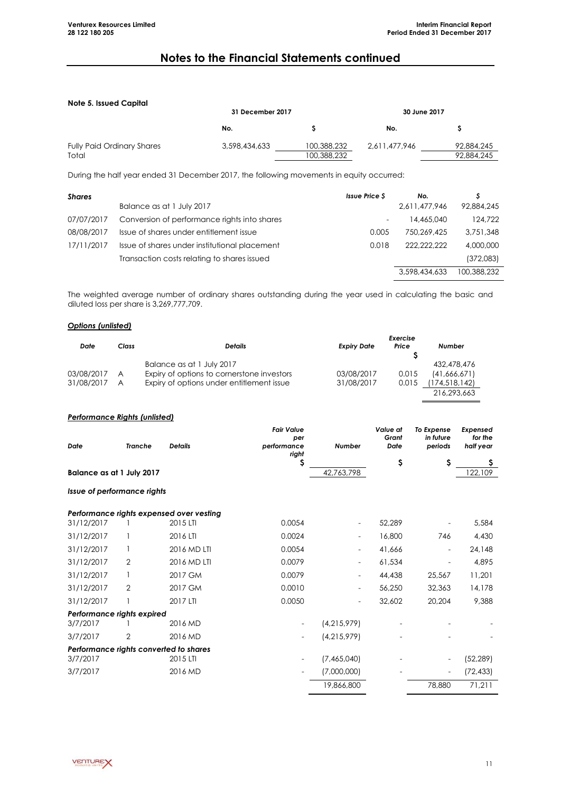### **Notes to the Financial Statements continued**

#### **Note 5. Issued Capital**

| <b>NUIC 3. ISSUEU CUPIIUI</b>     | 31 December 2017 |             | 30 June 2017  |            |
|-----------------------------------|------------------|-------------|---------------|------------|
|                                   | No.              |             | No.           |            |
| <b>Fully Paid Ordinary Shares</b> | 3,598,434,633    | 100,388,232 | 2.611.477.946 | 92,884,245 |
| Total                             |                  | 100,388,232 |               | 92,884,245 |

During the half year ended 31 December 2017, the following movements in equity occurred:

| <b>Shares</b> |                                               | <b>Issue Price S</b>     | No.           |             |
|---------------|-----------------------------------------------|--------------------------|---------------|-------------|
|               | Balance as at 1 July 2017                     |                          | 2,611,477,946 | 92,884,245  |
| 07/07/2017    | Conversion of performance rights into shares  | $\overline{\phantom{a}}$ | 14,465,040    | 124,722     |
| 08/08/2017    | Issue of shares under entitlement issue       | 0.005                    | 750.269.425   | 3.751.348   |
| 17/11/2017    | Issue of shares under institutional placement | 0.018                    | 222.222.222   | 4,000,000   |
|               | Transaction costs relating to shares issued   |                          |               | (372,083)   |
|               |                                               |                          | 3,598,434,633 | 100.388.232 |

The weighted average number of ordinary shares outstanding during the year used in calculating the basic and diluted loss per share is 3,269,777,709.

#### *Options (unlisted)*

|            |       |                                            | Exercise           |       |               |  |  |
|------------|-------|--------------------------------------------|--------------------|-------|---------------|--|--|
| Date       | Class | <b>Details</b>                             | <b>Expiry Date</b> | Price | Number        |  |  |
|            |       |                                            |                    |       |               |  |  |
|            |       | Balance as at 1 July 2017                  |                    |       | 432,478,476   |  |  |
| 03/08/2017 | A     | Expiry of options to cornerstone investors | 03/08/2017         | 0.015 | (41.666.671)  |  |  |
| 31/08/2017 | A     | Expiry of options under entitlement issue  | 31/08/2017         | 0.015 | (174,518,142) |  |  |
|            |       |                                            |                    |       | 216.293.663   |  |  |

#### *Performance Rights (unlisted)*

|                           |         |                | <b>Fair Value</b><br>per |               | Value at<br>Grant | To Expense<br>in future | Expensed<br>for the |
|---------------------------|---------|----------------|--------------------------|---------------|-------------------|-------------------------|---------------------|
| Date                      | Tranche | <b>Details</b> | performance<br>right     | <b>Number</b> | Date              | periods                 | half vear           |
|                           |         |                |                          |               |                   |                         |                     |
| Balance as at 1 July 2017 |         |                |                          | 42.763.798    |                   |                         | 122,109             |

*Issue of performance rights*

|                            |                | Performance rights expensed over vesting |        |                          |        |                   |           |
|----------------------------|----------------|------------------------------------------|--------|--------------------------|--------|-------------------|-----------|
| 31/12/2017                 |                | 2015 LTI                                 | 0.0054 | $\overline{\phantom{0}}$ | 52,289 | $\qquad \qquad -$ | 5,584     |
| 31/12/2017                 |                | 2016 LTI                                 | 0.0024 | $\overline{\phantom{0}}$ | 16,800 | 746               | 4,430     |
| 31/12/2017                 |                | 2016 MD LTI                              | 0.0054 | $\overline{\phantom{0}}$ | 41,666 | $\qquad \qquad -$ | 24,148    |
| 31/12/2017                 | 2              | 2016 MD LTI                              | 0.0079 |                          | 61,534 |                   | 4,895     |
| 31/12/2017                 |                | 2017 GM                                  | 0.0079 | $\overline{\phantom{0}}$ | 44,438 | 25,567            | 11,201    |
| 31/12/2017                 | $\overline{2}$ | 2017 GM                                  | 0.0010 | $\overline{\phantom{0}}$ | 56,250 | 32,363            | 14,178    |
| 31/12/2017                 |                | 2017 LTI                                 | 0.0050 | $\overline{\phantom{0}}$ | 32,602 | 20.204            | 9.388     |
| Performance rights expired |                |                                          |        |                          |        |                   |           |
| 3/7/2017                   |                | 2016 MD                                  |        | (4,215,979)              |        |                   |           |
| 3/7/2017                   | 2              | 2016 MD                                  |        | (4,215,979)              |        |                   |           |
|                            |                | Performance rights converted to shares   |        |                          |        |                   |           |
| 3/7/2017                   |                | 2015 LTI                                 |        | (7,465,040)              |        | Ξ.                | (52,289)  |
| 3/7/2017                   |                | 2016 MD                                  |        | (7,000,000)              |        | Ξ.                | (72, 433) |
|                            |                |                                          |        | 19,866,800               |        | 78,880            | 71,211    |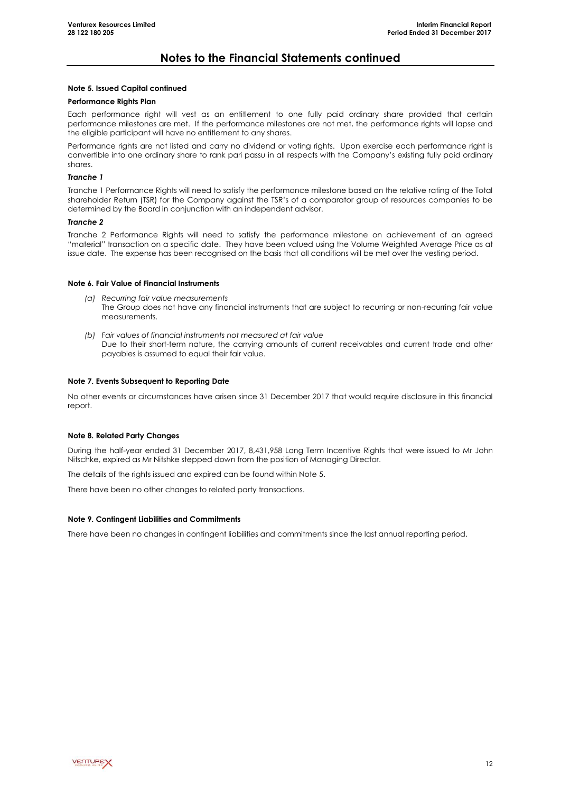### **Notes to the Financial Statements continued**

#### **Note 5. Issued Capital continued**

#### **Performance Rights Plan**

Each performance right will vest as an entitlement to one fully paid ordinary share provided that certain performance milestones are met. If the performance milestones are not met, the performance rights will lapse and the eligible participant will have no entitlement to any shares.

Performance rights are not listed and carry no dividend or voting rights. Upon exercise each performance right is convertible into one ordinary share to rank pari passu in all respects with the Company's existing fully paid ordinary shares.

#### *Tranche 1*

Tranche 1 Performance Rights will need to satisfy the performance milestone based on the relative rating of the Total shareholder Return (TSR) for the Company against the TSR's of a comparator group of resources companies to be determined by the Board in conjunction with an independent advisor.

#### *Tranche 2*

Tranche 2 Performance Rights will need to satisfy the performance milestone on achievement of an agreed "material" transaction on a specific date. They have been valued using the Volume Weighted Average Price as at issue date. The expense has been recognised on the basis that all conditions will be met over the vesting period.

#### **Note 6. Fair Value of Financial Instruments**

- *(a) Recurring fair value measurements* The Group does not have any financial instruments that are subject to recurring or non-recurring fair value measurements.
- *(b) Fair values of financial instruments not measured at fair value* Due to their short-term nature, the carrying amounts of current receivables and current trade and other payables is assumed to equal their fair value.

#### **Note 7. Events Subsequent to Reporting Date**

No other events or circumstances have arisen since 31 December 2017 that would require disclosure in this financial report.

#### **Note 8. Related Party Changes**

During the half-year ended 31 December 2017, 8,431,958 Long Term Incentive Rights that were issued to Mr John Nitschke, expired as Mr Nitshke stepped down from the position of Managing Director.

The details of the rights issued and expired can be found within Note 5.

There have been no other changes to related party transactions.

#### **Note 9. Contingent Liabilities and Commitments**

There have been no changes in contingent liabilities and commitments since the last annual reporting period.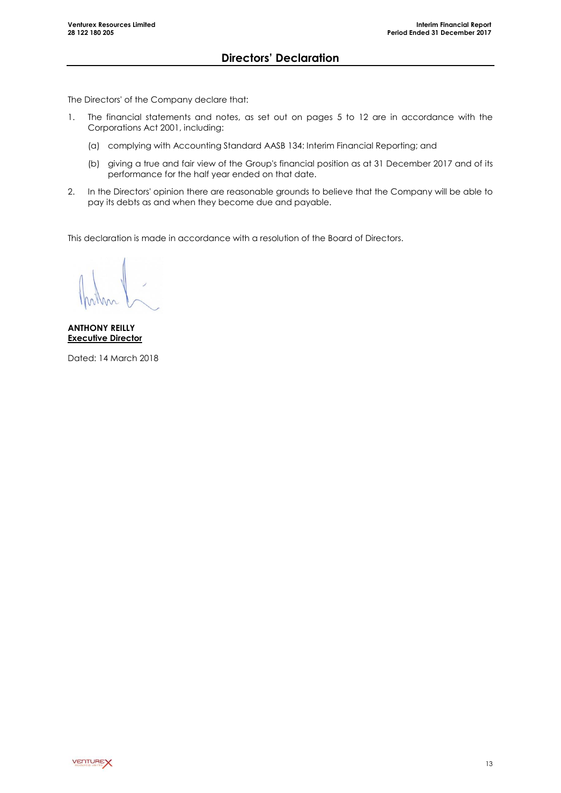<span id="page-14-0"></span>The Directors' of the Company declare that:

- 1. The financial statements and notes, as set out on pages 5 to 12 are in accordance with the Corporations Act 2001, including:
	- (a) complying with Accounting Standard AASB 134: Interim Financial Reporting; and
	- (b) giving a true and fair view of the Group's financial position as at 31 December 2017 and of its performance for the half year ended on that date.
- 2. In the Directors' opinion there are reasonable grounds to believe that the Company will be able to pay its debts as and when they become due and payable.

This declaration is made in accordance with a resolution of the Board of Directors.

**ANTHONY REILLY Executive Director**

Dated: 14 March 2018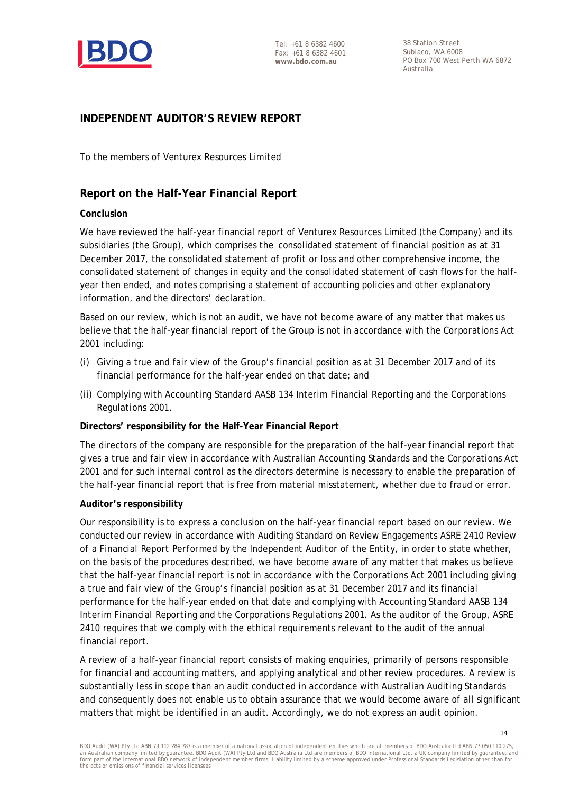

38 Station Street Subiaco, WA 6008 PO Box 700 West Perth WA 6872 Australia

### **INDEPENDENT AUDITOR'S REVIEW REPORT**

To the members of Venturex Resources Limited

### **Report on the Half-Year Financial Report**

### **Conclusion**

We have reviewed the half-year financial report of Venturex Resources Limited (the Company) and its subsidiaries (the Group), which comprises the consolidated statement of financial position as at 31 December 2017, the consolidated statement of profit or loss and other comprehensive income, the consolidated statement of changes in equity and the consolidated statement of cash flows for the halfyear then ended, and notes comprising a statement of accounting policies and other explanatory information, and the directors' declaration.

Based on our review, which is not an audit, we have not become aware of any matter that makes us believe that the half-year financial report of the Group is not in accordance with the *Corporations Act 2001* including:

- (i) Giving a true and fair view of the Group's financial position as at 31 December 2017 and of its financial performance for the half-year ended on that date; and
- (ii) Complying with Accounting Standard AASB 134 *Interim Financial Reporting* and the *Corporations Regulations 2001.*

### **Directors' responsibility for the Half-Year Financial Report**

The directors of the company are responsible for the preparation of the half-year financial report that gives a true and fair view in accordance with Australian Accounting Standards and the *Corporations Act 2001* and for such internal control as the directors determine is necessary to enable the preparation of the half-year financial report that is free from material misstatement, whether due to fraud or error.

#### **Auditor's responsibility**

Our responsibility is to express a conclusion on the half-year financial report based on our review. We conducted our review in accordance with Auditing Standard on Review Engagements ASRE 2410 *Review of a Financial Report Performed by the Independent Auditor of the Entity*, in order to state whether, on the basis of the procedures described, we have become aware of any matter that makes us believe that the half-year financial report is not in accordance with the *Corporations Act 2001* including giving a true and fair view of the Group's financial position as at 31 December 2017 and its financial performance for the half-year ended on that date and complying with Accounting Standard AASB 134 *Interim Financial Reporting* and the *Corporations Regulations 2001*. As the auditor of the Group, ASRE 2410 requires that we comply with the ethical requirements relevant to the audit of the annual financial report.

A review of a half-year financial report consists of making enquiries, primarily of persons responsible for financial and accounting matters, and applying analytical and other review procedures. A review is substantially less in scope than an audit conducted in accordance with Australian Auditing Standards and consequently does not enable us to obtain assurance that we would become aware of all significant matters that might be identified in an audit. Accordingly, we do not express an audit opinion.